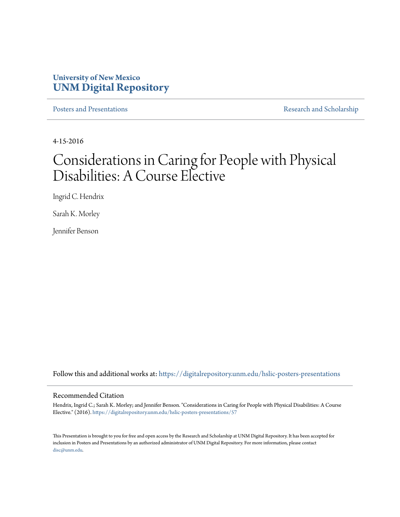#### **University of New Mexico [UNM Digital Repository](https://digitalrepository.unm.edu?utm_source=digitalrepository.unm.edu%2Fhslic-posters-presentations%2F57&utm_medium=PDF&utm_campaign=PDFCoverPages)**

[Posters and Presentations](https://digitalrepository.unm.edu/hslic-posters-presentations?utm_source=digitalrepository.unm.edu%2Fhslic-posters-presentations%2F57&utm_medium=PDF&utm_campaign=PDFCoverPages) **[Research and Scholarship](https://digitalrepository.unm.edu/hslic-research-scholarship?utm_source=digitalrepository.unm.edu%2Fhslic-posters-presentations%2F57&utm_medium=PDF&utm_campaign=PDFCoverPages)** 

4-15-2016

#### Considerations in Caring for People with Physical Disabilities: A Course Elective

Ingrid C. Hendrix

Sarah K. Morley

Jennifer Benson

Follow this and additional works at: [https://digitalrepository.unm.edu/hslic-posters-presentations](https://digitalrepository.unm.edu/hslic-posters-presentations?utm_source=digitalrepository.unm.edu%2Fhslic-posters-presentations%2F57&utm_medium=PDF&utm_campaign=PDFCoverPages)

#### Recommended Citation

Hendrix, Ingrid C.; Sarah K. Morley; and Jennifer Benson. "Considerations in Caring for People with Physical Disabilities: A Course Elective." (2016). [https://digitalrepository.unm.edu/hslic-posters-presentations/57](https://digitalrepository.unm.edu/hslic-posters-presentations/57?utm_source=digitalrepository.unm.edu%2Fhslic-posters-presentations%2F57&utm_medium=PDF&utm_campaign=PDFCoverPages)

This Presentation is brought to you for free and open access by the Research and Scholarship at UNM Digital Repository. It has been accepted for inclusion in Posters and Presentations by an authorized administrator of UNM Digital Repository. For more information, please contact [disc@unm.edu](mailto:disc@unm.edu).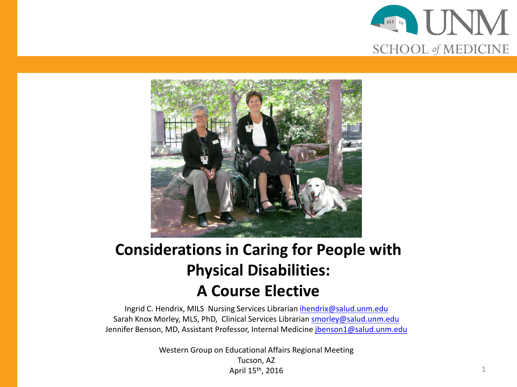



#### **Considerations in Caring for People with Physical Disabilities: A Course Elective**

Ingrid C. Hendrix, MILS Nursing Services Librarian [ihendrix@salud.unm.edu](mailto:ihendrix@salud.unm.edu) Sarah Knox Morley, MLS, PhD, Clinical Services Librarian [smorley@salud.unm.edu](mailto:smorley@salud.unm.edu) Jennifer Benson, MD, Assistant Professor, Internal Medicine [jbenson1@salud.unm.edu](mailto:jbenson1@salud.unm.edu)

> Western Group on Educational Affairs Regional Meeting Tucson, AZ April 15<sup>th</sup>, 2016 1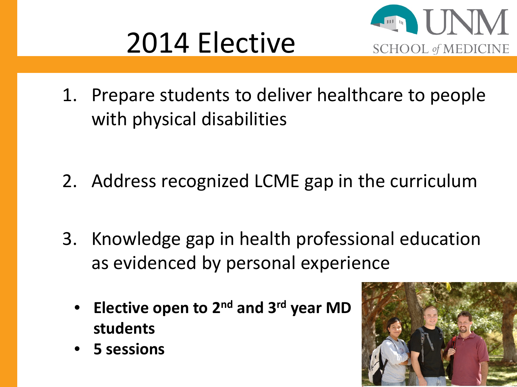



1. Prepare students to deliver healthcare to people with physical disabilities

- 2. Address recognized LCME gap in the curriculum
- 3. Knowledge gap in health professional education as evidenced by personal experience
	- **Elective open to 2nd and 3rd year MD students**
- 

• **5 sessions**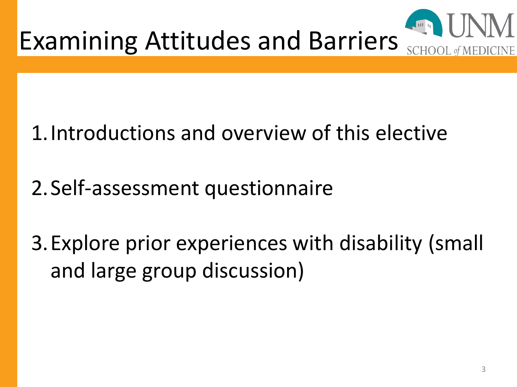

### 1.Introductions and overview of this elective

### 2.Self-assessment questionnaire

3.Explore prior experiences with disability (small and large group discussion)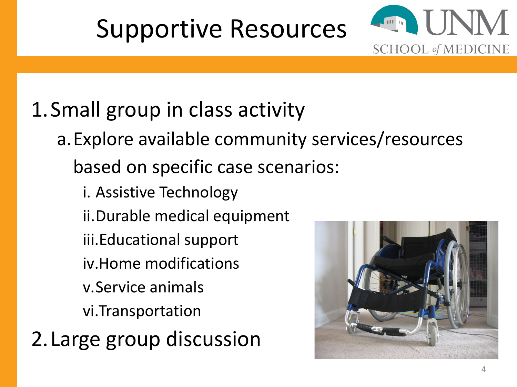## Supportive Resources



## 1.Small group in class activity

- a.Explore available community services/resources based on specific case scenarios:
	- i. Assistive Technology
	- ii.Durable medical equipment
	- iii.Educational support
	- iv.Home modifications
	- v.Service animals
	- vi.Transportation
- 2.Large group discussion

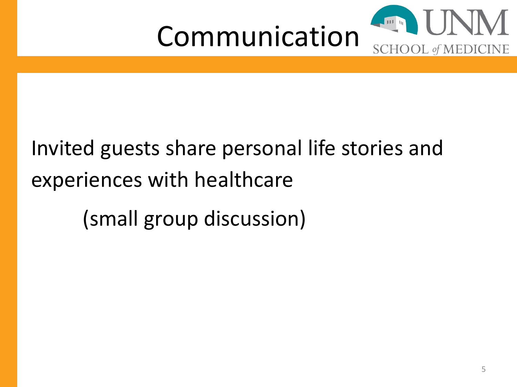

# Invited guests share personal life stories and experiences with healthcare (small group discussion)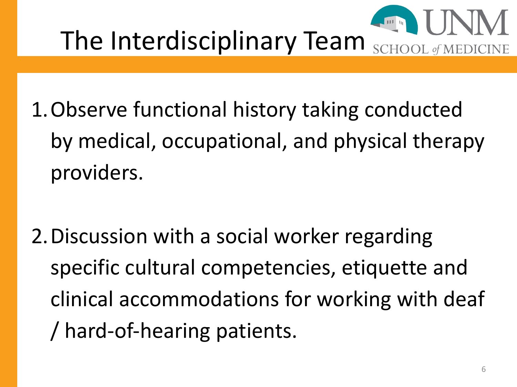

The Interdisciplinary Team

- 1.Observe functional history taking conducted by medical, occupational, and physical therapy providers.
- 2.Discussion with a social worker regarding specific cultural competencies, etiquette and clinical accommodations for working with deaf / hard-of-hearing patients.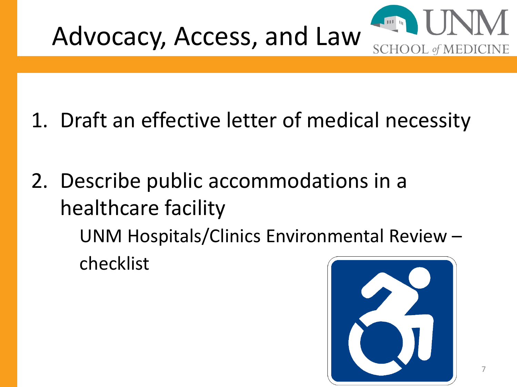

- 1. Draft an effective letter of medical necessity
- 2. Describe public accommodations in a healthcare facility

UNM Hospitals/Clinics Environmental Review – checklist

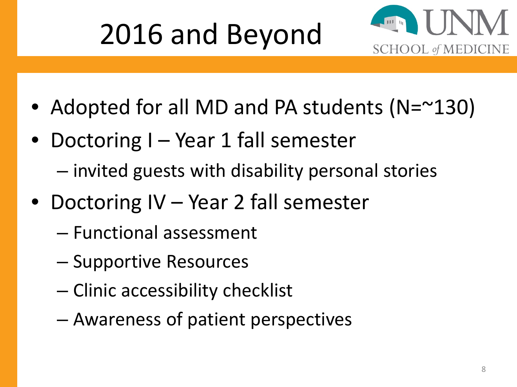# 2016 and Beyond



- Adopted for all MD and PA students (N=~130)
- Doctoring I Year 1 fall semester
	- invited guests with disability personal stories
- Doctoring IV Year 2 fall semester
	- Functional assessment
	- Supportive Resources
	- Clinic accessibility checklist
	- Awareness of patient perspectives